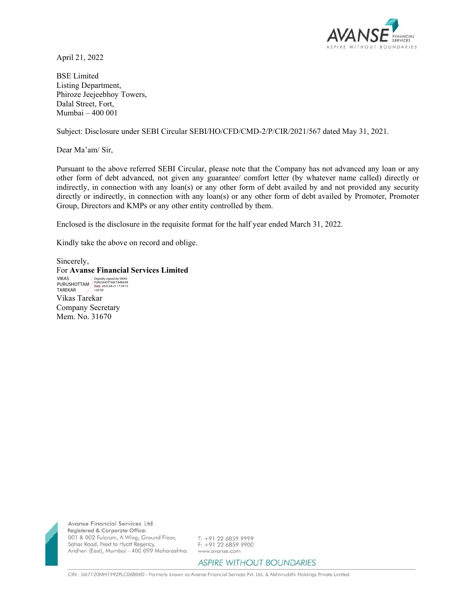

April 21, 2022

BSE Limited Listing Department, Phiroze Jeejeebhoy Towers, Dalal Street, Fort, Mumbai – 400 001

Subject: Disclosure under SEBI Circular SEBI/HO/CFD/CMD-2/P/CIR/2021/567 dated May 31, 2021.

Dear Ma'am/ Sir,

Pursuant to the above referred SEBI Circular, please note that the Company has not advanced any loan or any other form of debt advanced, not given any guarantee/ comfort letter (by whatever name called) directly or indirectly, in connection with any loan(s) or any other form of debt availed by and not provided any security directly or indirectly, in connection with any loan(s) or any other form of debt availed by Promoter, Promoter Group, Directors and KMPs or any other entity controlled by them.

Enclosed is the disclosure in the requisite format for the half year ended March 31, 2022.

Kindly take the above on record and oblige.

Sincerely, For **Avanse Financial Services Limited**  Vikas Tarekar Company Secretary Mem. No. 31670 VIKAS PURUSHOTTAM TAREKAR Digitally signed by VIKAS PURUSHOTTAM TAREKAR Date: 2022.04.21 17:39:13 +05'30'



Avanse Financial Services Ltd. Registered & Corporate Office: 001 & 002 Fulcrum, A Wing, Ground Floor, Sahar Road, Next to Hyatt Regency, Andheri (East), Mumbai - 400 099 Maharashtra.

T: +91 22 6859 9999 F: +91 22 6859 9900 www.avanse.com

**ASPIRE WITHOUT BOUNDARIES** 

CIN : U67120MH1992PLC068060 - Formerly known as Avanse Financial Services Pvt. Ltd. & Abhivruddhi Holdings Private Limited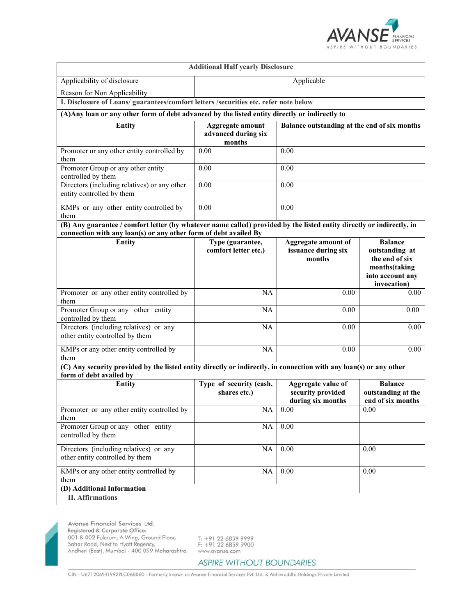

| <b>Additional Half yearly Disclosure</b>                                                                                                                                                  |                                                          |                                                              |                                                                                      |  |
|-------------------------------------------------------------------------------------------------------------------------------------------------------------------------------------------|----------------------------------------------------------|--------------------------------------------------------------|--------------------------------------------------------------------------------------|--|
| Applicability of disclosure                                                                                                                                                               | Applicable                                               |                                                              |                                                                                      |  |
| Reason for Non Applicability                                                                                                                                                              |                                                          |                                                              |                                                                                      |  |
| I. Disclosure of Loans/ guarantees/comfort letters /securities etc. refer note below                                                                                                      |                                                          |                                                              |                                                                                      |  |
| (A) Any loan or any other form of debt advanced by the listed entity directly or indirectly to                                                                                            |                                                          |                                                              |                                                                                      |  |
| Entity                                                                                                                                                                                    | <b>Aggregate amount</b><br>advanced during six<br>months | Balance outstanding at the end of six months                 |                                                                                      |  |
| Promoter or any other entity controlled by<br>them                                                                                                                                        | 0.00                                                     | 0.00                                                         |                                                                                      |  |
| Promoter Group or any other entity<br>controlled by them                                                                                                                                  | 0.00                                                     | 0.00                                                         |                                                                                      |  |
| Directors (including relatives) or any other<br>entity controlled by them                                                                                                                 | 0.00                                                     | 0.00                                                         |                                                                                      |  |
| KMPs or any other entity controlled by<br>them                                                                                                                                            | 0.00                                                     | 0.00                                                         |                                                                                      |  |
| (B) Any guarantee / comfort letter (by whatever name called) provided by the listed entity directly or indirectly, in<br>connection with any loan(s) or any other form of debt availed By |                                                          |                                                              |                                                                                      |  |
| <b>Entity</b>                                                                                                                                                                             | Type (guarantee,                                         | <b>Aggregate amount of</b>                                   | <b>Balance</b>                                                                       |  |
|                                                                                                                                                                                           | comfort letter etc.)                                     | issuance during six<br>months                                | outstanding at<br>the end of six<br>months(taking<br>into account any<br>invocation) |  |
| Promoter or any other entity controlled by<br>them                                                                                                                                        | <b>NA</b>                                                | 0.00                                                         | 0.00                                                                                 |  |
| Promoter Group or any other entity<br>controlled by them                                                                                                                                  | <b>NA</b>                                                | 0.00                                                         | 0.00                                                                                 |  |
| Directors (including relatives) or any<br>other entity controlled by them                                                                                                                 | <b>NA</b>                                                | 0.00                                                         | 0.00                                                                                 |  |
| KMPs or any other entity controlled by<br>them                                                                                                                                            | <b>NA</b>                                                | 0.00                                                         | 0.00                                                                                 |  |
| (C) Any security provided by the listed entity directly or indirectly, in connection with any loan(s) or any other<br>form of debt availed by                                             |                                                          |                                                              |                                                                                      |  |
| <b>Entity</b>                                                                                                                                                                             | Type of security (cash,<br>shares etc.)                  | Aggregate value of<br>security provided<br>during six months | <b>Balance</b><br>outstanding at the<br>end of six months                            |  |
| Promoter or any other entity controlled by<br>them                                                                                                                                        | $\rm NA$                                                 | 0.00                                                         | 0.00                                                                                 |  |
| Promoter Group or any other entity<br>controlled by them                                                                                                                                  | <b>NA</b>                                                | $\overline{0.00}$                                            |                                                                                      |  |
| Directors (including relatives) or any<br>other entity controlled by them                                                                                                                 | NA                                                       | 0.00                                                         | 0.00                                                                                 |  |
| KMPs or any other entity controlled by<br>them                                                                                                                                            | NA                                                       | $0.00\,$                                                     | 0.00                                                                                 |  |
| (D) Additional Information                                                                                                                                                                |                                                          |                                                              |                                                                                      |  |
| <b>II.</b> Affirmations                                                                                                                                                                   |                                                          |                                                              |                                                                                      |  |

Avanse Financial Services Ltd. Registered & Corporate Office: Negisiered & Corporate Orice:<br>
001 & 002 Fulcrum, A Wing, Ground Floor,<br>
Sahar Road, Next to Hyatt Regency,<br>
Andheri (East), Mumbai - 400 099 Maharashtra.

T: +91 22 6859 9999<br>F: +91 22 6859 9900 www.avanse.com

CIN : U67120MH1992PLC068060 - Formerly known as Avanse Financial Services Pvt. Ltd. & Abhivruddhi Holdings Private Limited